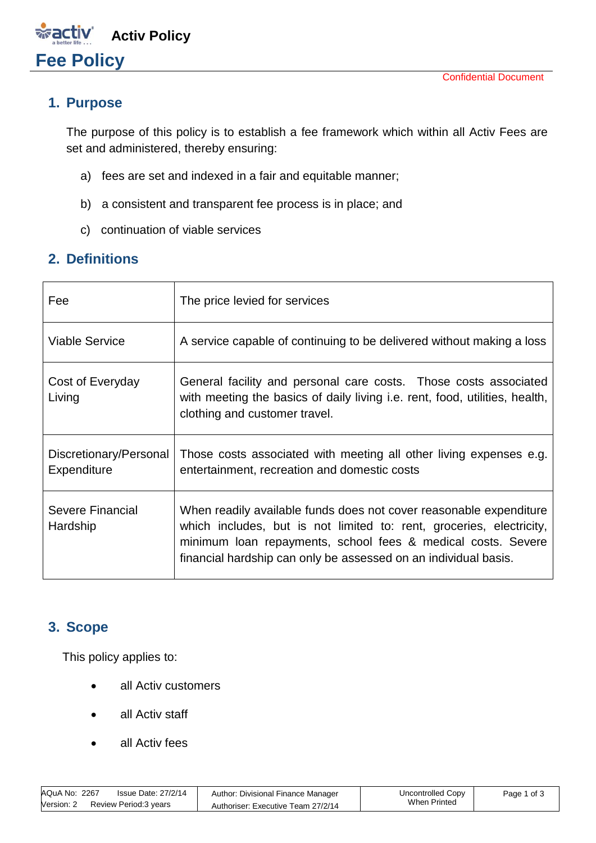#### **1. Purpose**

**Fee Policy** 

The purpose of this policy is to establish a fee framework which within all Activ Fees are set and administered, thereby ensuring:

- a) fees are set and indexed in a fair and equitable manner;
- b) a consistent and transparent fee process is in place; and
- c) continuation of viable services

**Activ Policy**

#### **2. Definitions**

| Fee                                   | The price levied for services                                                                                                                                                                                                                                                 |
|---------------------------------------|-------------------------------------------------------------------------------------------------------------------------------------------------------------------------------------------------------------------------------------------------------------------------------|
| <b>Viable Service</b>                 | A service capable of continuing to be delivered without making a loss                                                                                                                                                                                                         |
| Cost of Everyday<br>Living            | General facility and personal care costs. Those costs associated<br>with meeting the basics of daily living i.e. rent, food, utilities, health,<br>clothing and customer travel.                                                                                              |
| Discretionary/Personal<br>Expenditure | Those costs associated with meeting all other living expenses e.g.<br>entertainment, recreation and domestic costs                                                                                                                                                            |
| Severe Financial<br>Hardship          | When readily available funds does not cover reasonable expenditure<br>which includes, but is not limited to: rent, groceries, electricity,<br>minimum loan repayments, school fees & medical costs. Severe<br>financial hardship can only be assessed on an individual basis. |

#### **3. Scope**

This policy applies to:

- all Activ customers
- all Activ staff
- all Activ fees

| AQuA No: 2267 | Issue Date: 27/2/14   | Author: Divisional Finance Manager | Uncontrolled Copy | Page 1 of 3 |
|---------------|-----------------------|------------------------------------|-------------------|-------------|
| Version: 2    | Review Period:3 years | Authoriser: Executive Team 27/2/14 | When Printed      |             |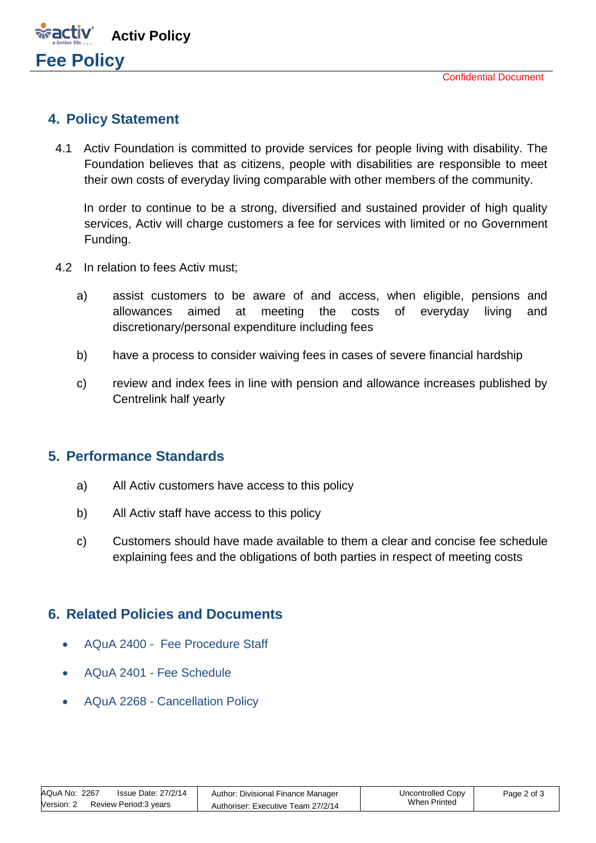

### **4. Policy Statement**

4.1 Activ Foundation is committed to provide services for people living with disability. The Foundation believes that as citizens, people with disabilities are responsible to meet their own costs of everyday living comparable with other members of the community.

In order to continue to be a strong, diversified and sustained provider of high quality services, Activ will charge customers a fee for services with limited or no Government Funding.

- 4.2 In relation to fees Activ must;
	- a) assist customers to be aware of and access, when eligible, pensions and allowances aimed at meeting the costs of everyday living and discretionary/personal expenditure including fees
	- b) have a process to consider waiving fees in cases of severe financial hardship
	- c) review and index fees in line with pension and allowance increases published by Centrelink half yearly

#### **5. Performance Standards**

- a) All Activ customers have access to this policy
- b) All Activ staff have access to this policy
- c) Customers should have made available to them a clear and concise fee schedule explaining fees and the obligations of both parties in respect of meeting costs

#### **6. Related Policies and Documents**

- AQuA 2400 Fee Procedure Staff
- AQuA 2401 Fee Schedule
- AQuA 2268 Cancellation Policy